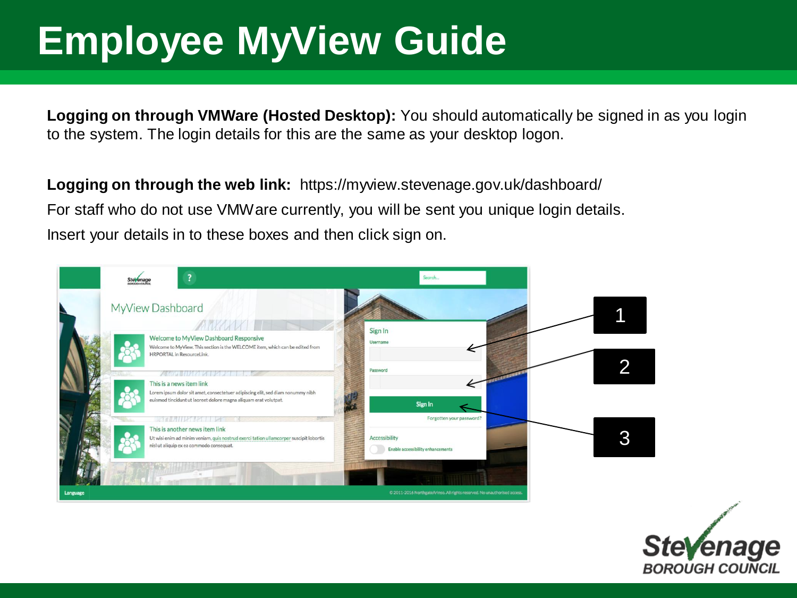# **Employee MyView Guide**

**Logging on through VMWare (Hosted Desktop):** You should automatically be signed in as you login to the system. The login details for this are the same as your desktop logon.

**Logging on through the web link:** https://myview.stevenage.gov.uk/dashboard/ For staff who do not use VMWare currently, you will be sent you unique login details. Insert your details in to these boxes and then click sign on.



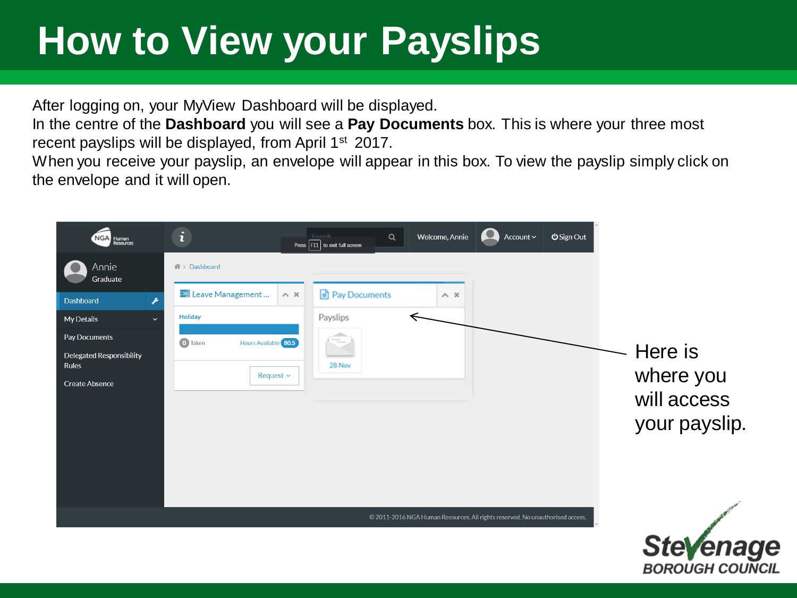# **How to View your Payslips**

After logging on, your MyView Dashboard will be displayed.

In the centre of the **Dashboard** you will see a **Pay Documents** box. This is where your three most recent payslips will be displayed, from April 1<sup>st</sup> 2017.

When you receive your payslip, an envelope will appear in this box. To view the payslip simply click on the envelope and it will open.



BOROUGH COUNCIL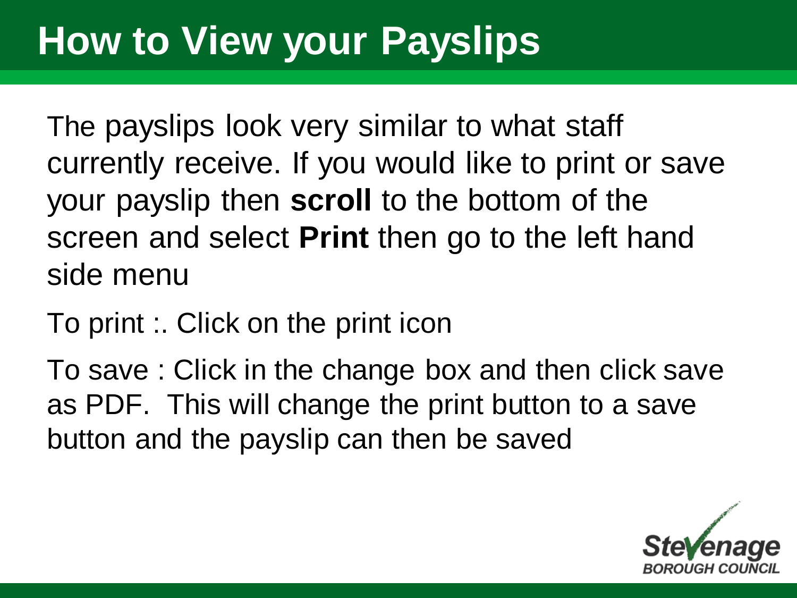## **How to View your Payslips**

The payslips look very similar to what staff currently receive. If you would like to print or save your payslip then **scroll** to the bottom of the screen and select **Print** then go to the left hand side menu

To print :. Click on the print icon

To save : Click in the change box and then click save as PDF. This will change the print button to a save button and the payslip can then be saved

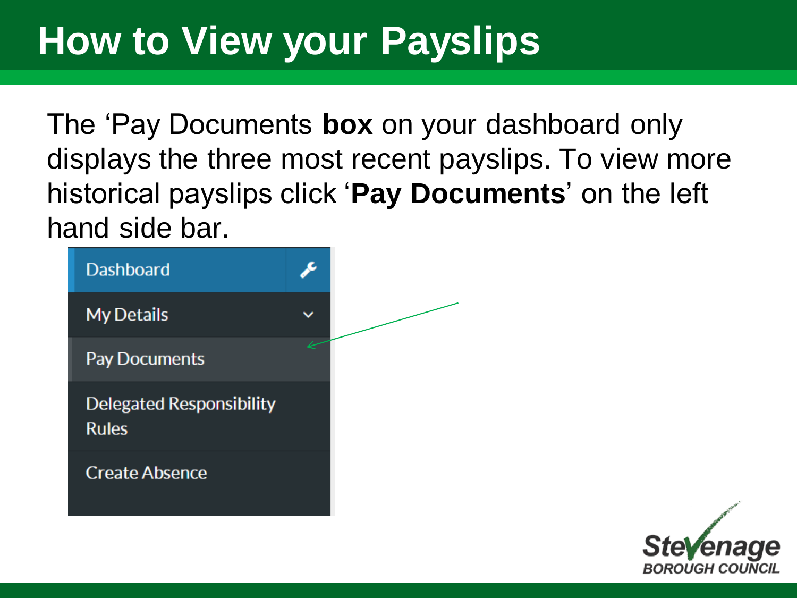## **How to View your Payslips**

The 'Pay Documents **box** on your dashboard only displays the three most recent payslips. To view more historical payslips click '**Pay Documents**' on the left hand side bar.



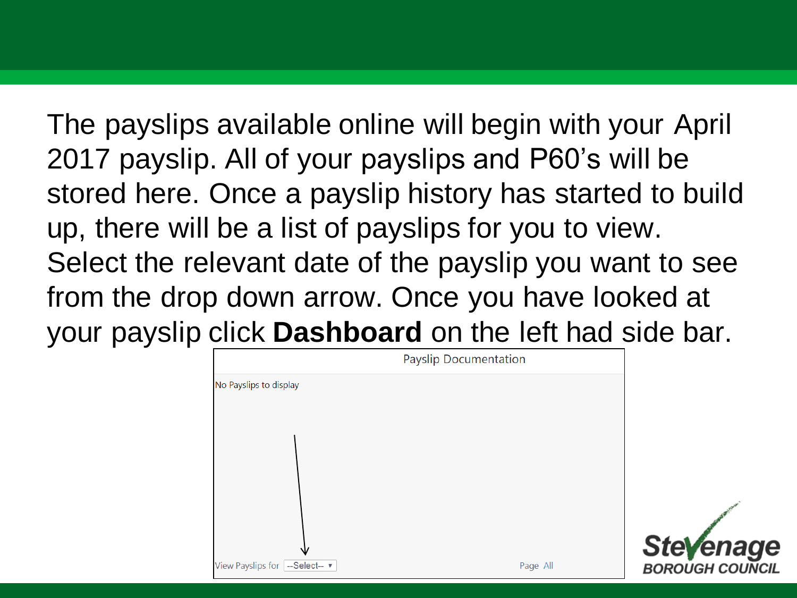The payslips available online will begin with your April 2017 payslip. All of your payslips and P60's will be stored here. Once a payslip history has started to build up, there will be a list of payslips for you to view. Select the relevant date of the payslip you want to see from the drop down arrow. Once you have looked at your payslip click **Dashboard** on the left had side bar.



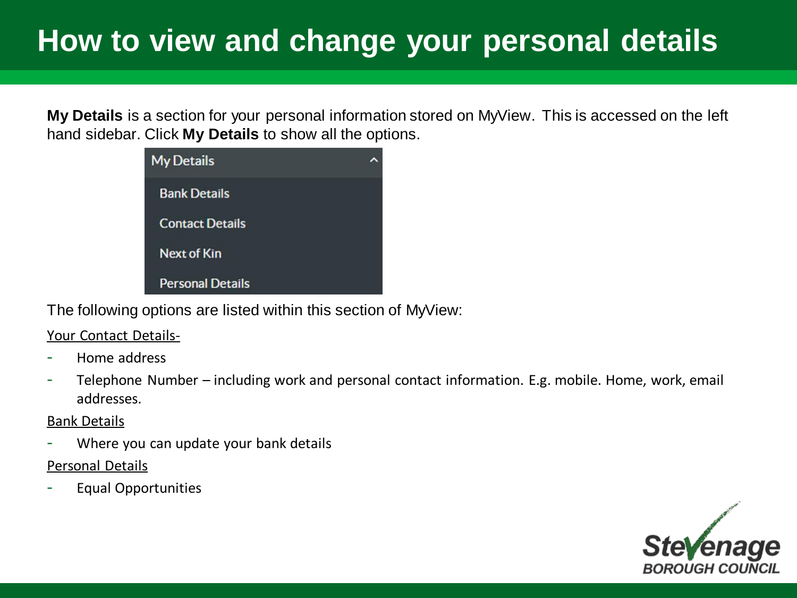#### **How to view and change your personal details**

**My Details** is a section for your personal information stored on MyView. This is accessed on the left hand sidebar. Click **My Details** to show all the options.



The following options are listed within this section of MyView:

Your Contact Details-

- Home address
- Telephone Number including work and personal contact information. E.g. mobile. Home, work, email addresses.

#### Bank Details

- Where you can update your bank details
- Personal Details
- Equal Opportunities

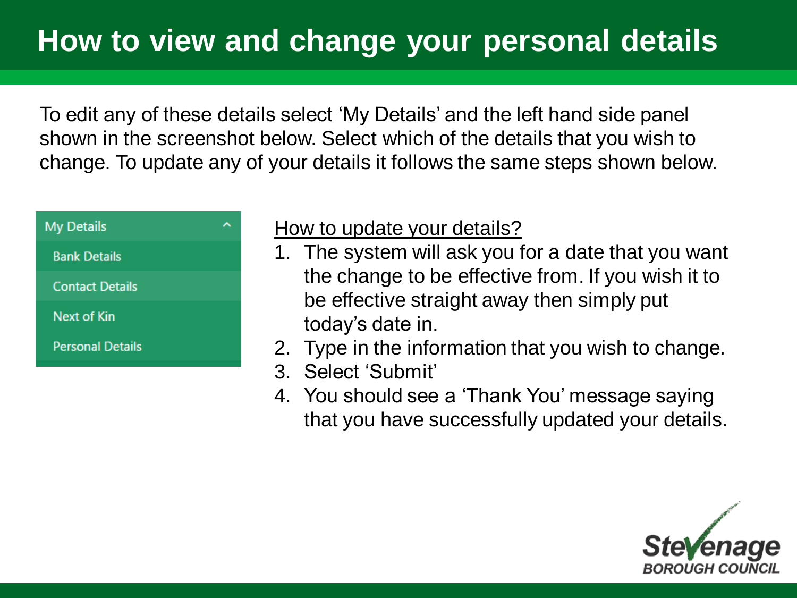To edit any of these details select 'My Details' and the left hand side panel shown in the screenshot below. Select which of the details that you wish to change. To update any of your details it follows the same steps shown below.



#### How to update your details?

- 1. The system will ask you for a date that you want the change to be effective from. If you wish it to be effective straight away then simply put today's date in.
- 2. Type in the information that you wish to change.
- 3. Select 'Submit'
- 4. You should see a 'Thank You' message saying that you have successfully updated your details.

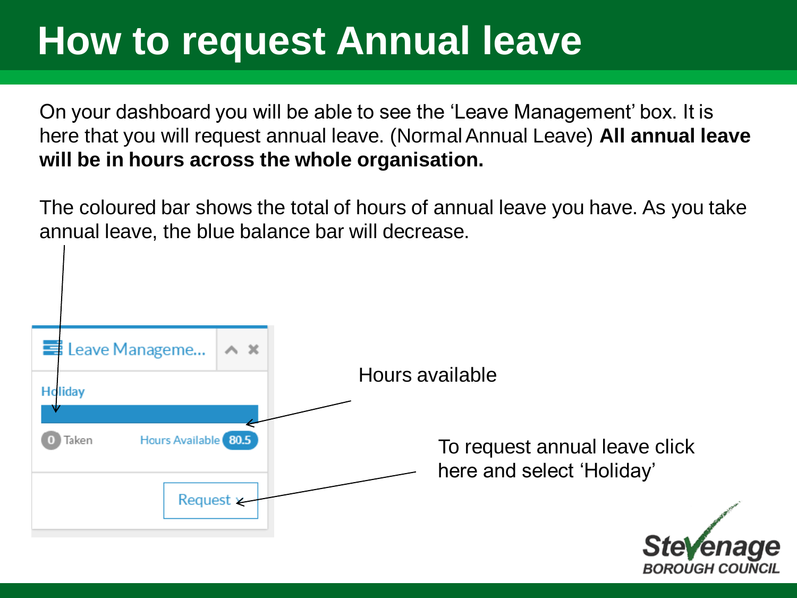On your dashboard you will be able to see the 'Leave Management' box. It is here that you will request annual leave. (Normal Annual Leave) **All annual leave will be in hours across the whole organisation.** 

The coloured bar shows the total of hours of annual leave you have. As you take annual leave, the blue balance bar will decrease.

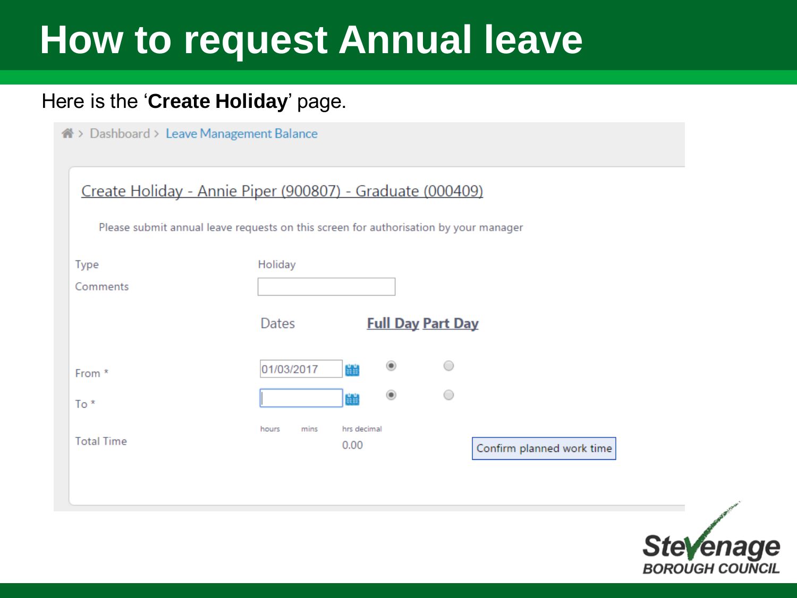#### Here is the '**Create Holiday**' page.

nable > Dashboard > Leave Management Balance

| Create Holiday - Annie Piper (900807) - Graduate (000409)<br>Please submit annual leave requests on this screen for authorisation by your manager |                       |                          |                           |
|---------------------------------------------------------------------------------------------------------------------------------------------------|-----------------------|--------------------------|---------------------------|
| Type                                                                                                                                              | Holiday               |                          |                           |
| Comments                                                                                                                                          |                       |                          |                           |
|                                                                                                                                                   | Dates                 | <b>Full Day Part Day</b> |                           |
| From *                                                                                                                                            | 鹽<br>01/03/2017       |                          |                           |
| $To *$                                                                                                                                            | 譜                     |                          |                           |
| <b>Total Time</b>                                                                                                                                 | hours<br>mins<br>0.00 | hrs decimal              | Confirm planned work time |

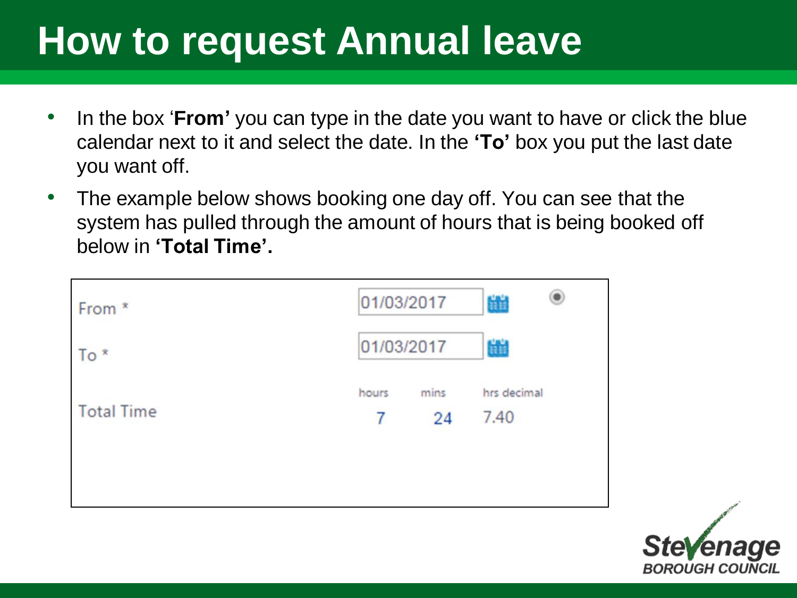- In the box '**From'** you can type in the date you want to have or click the blue calendar next to it and select the date. In the **'To'** box you put the last date you want off.
- The example below shows booking one day off. You can see that the system has pulled through the amount of hours that is being booked off below in **'Total Time'.**

| From *            | 01/03/2017 |            | 齸                   |  |
|-------------------|------------|------------|---------------------|--|
| $To *$            | 01/03/2017 |            | H                   |  |
| <b>Total Time</b> | hours<br>7 | mins<br>24 | hrs decimal<br>7.40 |  |
|                   |            |            |                     |  |

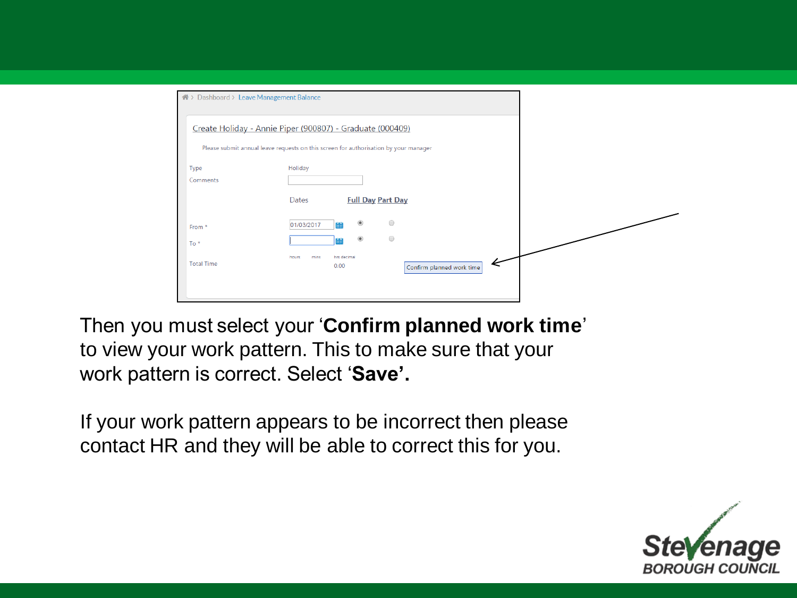| 4 > Dashboard > Leave Management Balance |                                                                                      |                                |  |
|------------------------------------------|--------------------------------------------------------------------------------------|--------------------------------|--|
|                                          | Create Holiday - Annie Piper (900807) - Graduate (000409)                            |                                |  |
|                                          | Please submit annual leave requests on this screen for authorisation by your manager |                                |  |
| Type<br>Comments                         | Holiday                                                                              |                                |  |
|                                          | <b>Dates</b>                                                                         | <b>Full Day Part Day</b>       |  |
| From *                                   | $^{\circ}$<br>01/03/2017                                                             | $\bigcirc$                     |  |
| $To *$                                   | $^{\circ}$                                                                           | $\bigcirc$                     |  |
| <b>Total Time</b>                        | hrs decimal<br>hours<br>mins<br>0.00                                                 | ⋖<br>Confirm planned work time |  |
|                                          |                                                                                      |                                |  |

Then you must select your '**Confirm planned work time**' to view your work pattern. This to make sure that your work pattern is correct. Select '**Save'.** 

If your work pattern appears to be incorrect then please contact HR and they will be able to correct this for you.

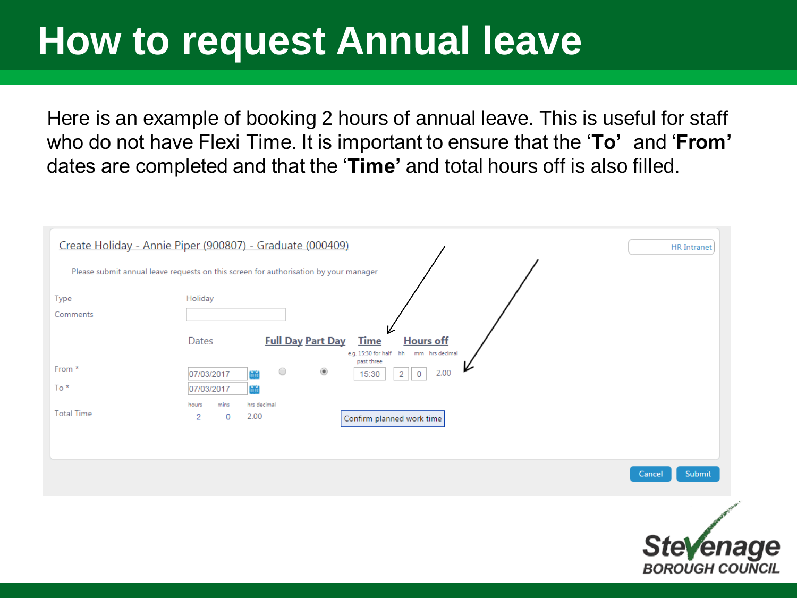Here is an example of booking 2 hours of annual leave. This is useful for staff who do not have Flexi Time. It is important to ensure that the '**To'** and '**From'**  dates are completed and that the '**Time'** and total hours off is also filled.

|                   | Create Holiday - Annie Piper (900807) - Graduate (000409)                                                     | HR Intranet      |
|-------------------|---------------------------------------------------------------------------------------------------------------|------------------|
|                   | Please submit annual leave requests on this screen for authorisation by your manager                          |                  |
| Type              | Holiday                                                                                                       |                  |
| Comments          |                                                                                                               |                  |
|                   | <b>Full Day Part Day</b><br><b>Time</b><br><b>Hours off</b><br>Dates<br>e.g. 15:30 for half hh mm hrs decimal |                  |
| From *            | past three<br>$\circ$<br>$^\circledR$<br>2.00<br>07/03/2017<br>2<br>$\mathbf 0$<br>ينين<br>15:30              |                  |
| $To *$            | 07/03/2017                                                                                                    |                  |
|                   | mins<br>hrs decimal<br>hours                                                                                  |                  |
| <b>Total Time</b> | 2.00<br>$\overline{2}$<br>0<br>Confirm planned work time                                                      |                  |
|                   |                                                                                                               |                  |
|                   |                                                                                                               |                  |
|                   |                                                                                                               | Submit<br>Cancel |
|                   |                                                                                                               |                  |

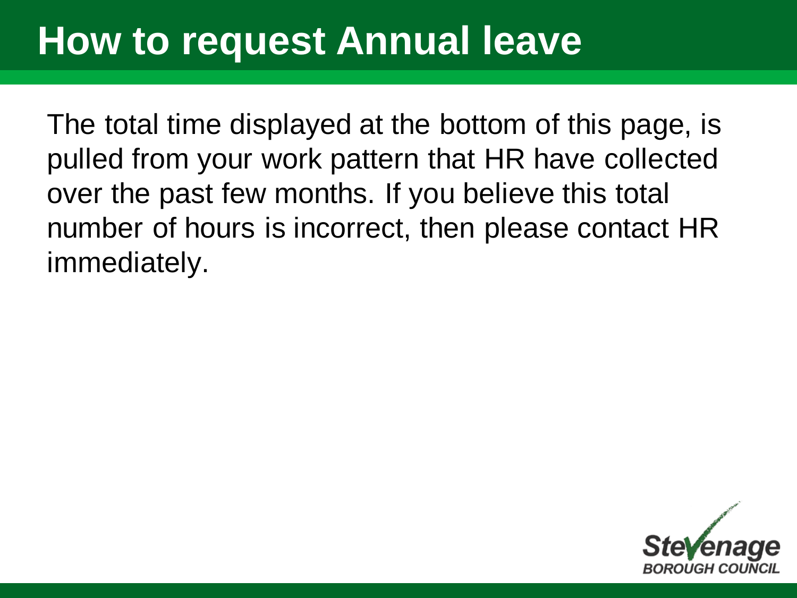The total time displayed at the bottom of this page, is pulled from your work pattern that HR have collected over the past few months. If you believe this total number of hours is incorrect, then please contact HR immediately.

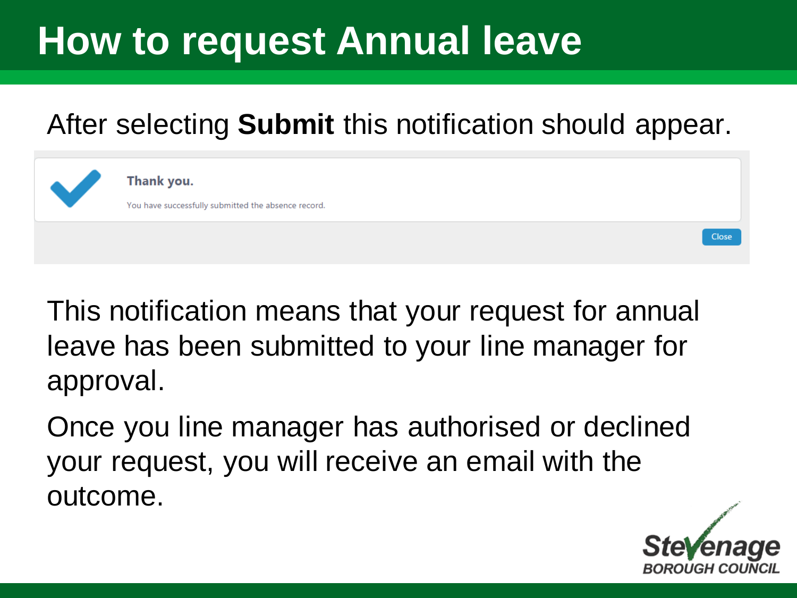#### After selecting **Submit** this notification should appear.



Thank you.

You have successfully submitted the absence record.

This notification means that your request for annual leave has been submitted to your line manager for approval.

Once you line manager has authorised or declined your request, you will receive an email with the outcome.



Close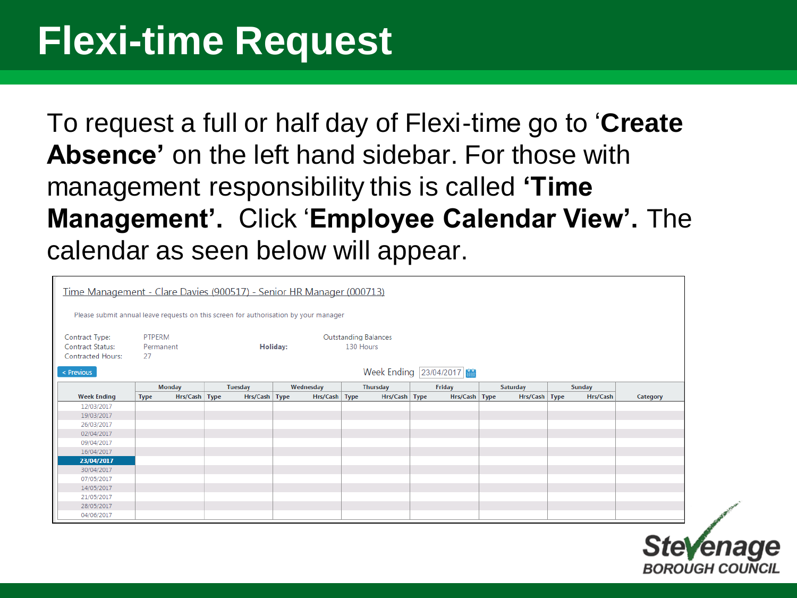#### **Flexi-time Request**

To request a full or half day of Flexi-time go to '**Create Absence'** on the left hand sidebar. For those with management responsibility this is called **'Time Management'.** Click '**Employee Calendar View'.** The calendar as seen below will appear.

|                                                     |                              | Time Management - Clare Davies (900517) - Senior HR Manager (000713)                 |               |                             |                        |                 |               |          |
|-----------------------------------------------------|------------------------------|--------------------------------------------------------------------------------------|---------------|-----------------------------|------------------------|-----------------|---------------|----------|
|                                                     |                              | Please submit annual leave requests on this screen for authorisation by your manager |               |                             |                        |                 |               |          |
| Contract Type:                                      | <b>PTPERM</b>                | Holiday:                                                                             |               | <b>Outstanding Balances</b> |                        |                 |               |          |
| <b>Contract Status:</b><br><b>Contracted Hours:</b> | Permanent<br>27              |                                                                                      |               |                             | 130 Hours              |                 |               |          |
| < Previous                                          |                              |                                                                                      |               |                             | Week Ending 23/04/2017 |                 |               |          |
|                                                     | <b>Monday</b>                | <b>Tuesday</b>                                                                       | Wednesday     | <b>Thursday</b>             | Friday                 | <b>Saturday</b> | <b>Sunday</b> |          |
| <b>Week Ending</b>                                  | Hrs/Cash Type<br><b>Type</b> | Hrs/Cash Type                                                                        | Hrs/Cash Type | Hrs/Cash Type               | Hrs/Cash   Type        | Hrs/Cash   Type | Hrs/Cash      | Category |
| 12/03/2017                                          |                              |                                                                                      |               |                             |                        |                 |               |          |
| 19/03/2017                                          |                              |                                                                                      |               |                             |                        |                 |               |          |
| 26/03/2017                                          |                              |                                                                                      |               |                             |                        |                 |               |          |
| 02/04/2017                                          |                              |                                                                                      |               |                             |                        |                 |               |          |
| 09/04/2017                                          |                              |                                                                                      |               |                             |                        |                 |               |          |
| 16/04/2017                                          |                              |                                                                                      |               |                             |                        |                 |               |          |
| 23/04/2017                                          |                              |                                                                                      |               |                             |                        |                 |               |          |
| 30/04/2017                                          |                              |                                                                                      |               |                             |                        |                 |               |          |
| 07/05/2017                                          |                              |                                                                                      |               |                             |                        |                 |               |          |
| 14/05/2017                                          |                              |                                                                                      |               |                             |                        |                 |               |          |
| 21/05/2017                                          |                              |                                                                                      |               |                             |                        |                 |               |          |
| 28/05/2017                                          |                              |                                                                                      |               |                             |                        |                 |               |          |
|                                                     |                              |                                                                                      |               |                             |                        |                 |               |          |

**Stevenage BOROUGH COUNCIL**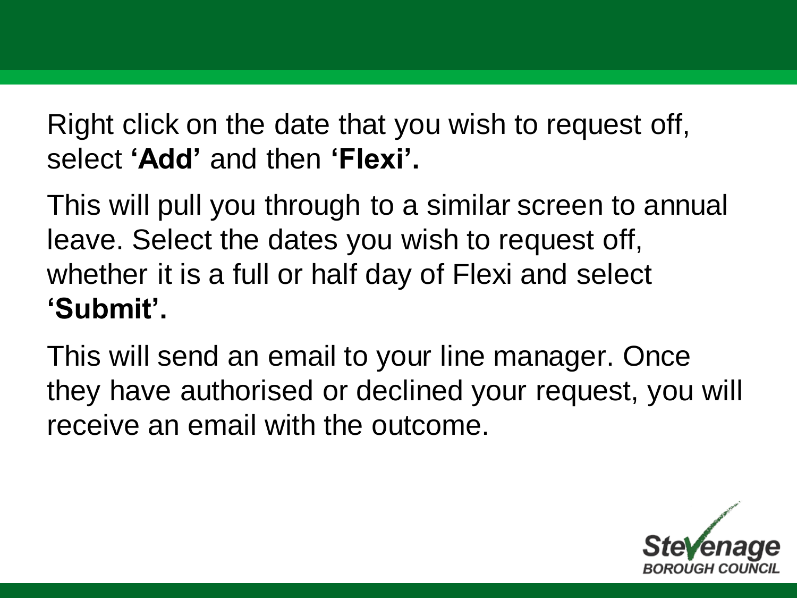Right click on the date that you wish to request off, select **'Add'** and then **'Flexi'.** 

This will pull you through to a similar screen to annual leave. Select the dates you wish to request off, whether it is a full or half day of Flexi and select **'Submit'.** 

This will send an email to your line manager. Once they have authorised or declined your request, you will receive an email with the outcome.